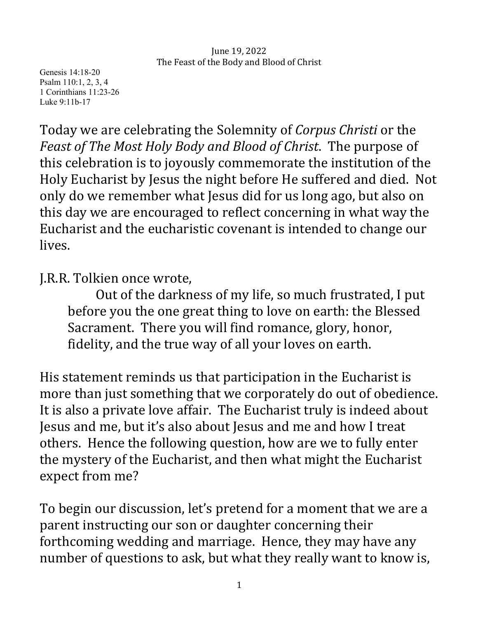Genesis 14:18-20 Psalm 110:1, 2, 3, 4 1 Corinthians 11:23-26 Luke 9:11b-17

Today we are celebrating the Solemnity of *Corpus Christi* or the *Feast of The Most Holy Body and Blood of Christ. The purpose of* this celebration is to joyously commemorate the institution of the Holy Eucharist by Jesus the night before He suffered and died. Not only do we remember what Jesus did for us long ago, but also on this day we are encouraged to reflect concerning in what way the Eucharist and the eucharistic covenant is intended to change our lives. 

## J.R.R. Tolkien once wrote,

Out of the darkness of my life, so much frustrated, I put before you the one great thing to love on earth: the Blessed Sacrament. There you will find romance, glory, honor, fidelity, and the true way of all your loves on earth.

His statement reminds us that participation in the Eucharist is more than just something that we corporately do out of obedience. It is also a private love affair. The Eucharist truly is indeed about Jesus and me, but it's also about Jesus and me and how I treat others. Hence the following question, how are we to fully enter the mystery of the Eucharist, and then what might the Eucharist expect from me?

To begin our discussion, let's pretend for a moment that we are a parent instructing our son or daughter concerning their forthcoming wedding and marriage. Hence, they may have any number of questions to ask, but what they really want to know is,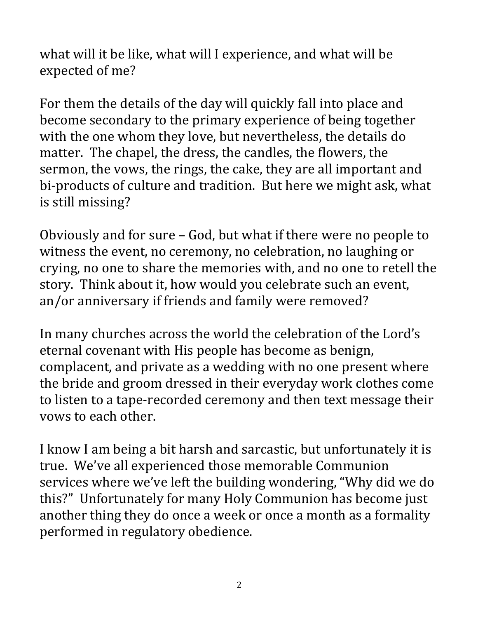what will it be like, what will I experience, and what will be expected of me?

For them the details of the day will quickly fall into place and become secondary to the primary experience of being together with the one whom they love, but nevertheless, the details do matter. The chapel, the dress, the candles, the flowers, the sermon, the vows, the rings, the cake, they are all important and bi-products of culture and tradition. But here we might ask, what is still missing?

Obviously and for sure - God, but what if there were no people to witness the event, no ceremony, no celebration, no laughing or crying, no one to share the memories with, and no one to retell the story. Think about it, how would you celebrate such an event, an/or anniversary if friends and family were removed?

In many churches across the world the celebration of the Lord's eternal covenant with His people has become as benign, complacent, and private as a wedding with no one present where the bride and groom dressed in their everyday work clothes come to listen to a tape-recorded ceremony and then text message their vows to each other.

I know I am being a bit harsh and sarcastic, but unfortunately it is true. We've all experienced those memorable Communion services where we've left the building wondering, "Why did we do this?" Unfortunately for many Holy Communion has become just another thing they do once a week or once a month as a formality performed in regulatory obedience.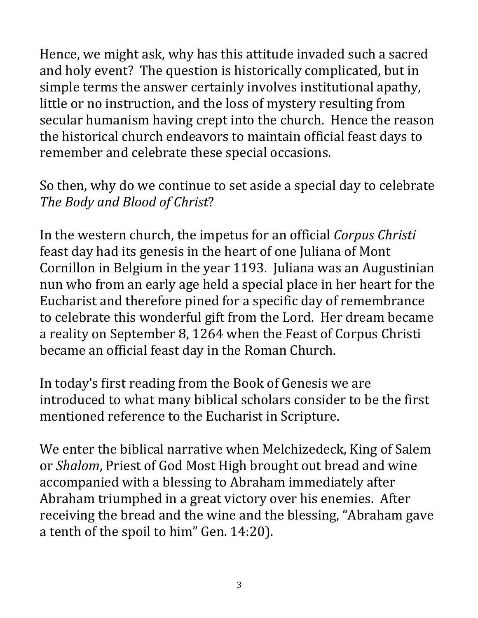Hence, we might ask, why has this attitude invaded such a sacred and holy event? The question is historically complicated, but in simple terms the answer certainly involves institutional apathy, little or no instruction, and the loss of mystery resulting from secular humanism having crept into the church. Hence the reason the historical church endeavors to maintain official feast days to remember and celebrate these special occasions.

So then, why do we continue to set aside a special day to celebrate The Body and Blood of Christ?

In the western church, the impetus for an official *Corpus Christi* feast day had its genesis in the heart of one Juliana of Mont Cornillon in Belgium in the year 1193. Juliana was an Augustinian nun who from an early age held a special place in her heart for the Eucharist and therefore pined for a specific day of remembrance to celebrate this wonderful gift from the Lord. Her dream became a reality on September 8, 1264 when the Feast of Corpus Christi became an official feast day in the Roman Church.

In today's first reading from the Book of Genesis we are introduced to what many biblical scholars consider to be the first mentioned reference to the Eucharist in Scripture.

We enter the biblical narrative when Melchizedeck, King of Salem or *Shalom*, Priest of God Most High brought out bread and wine accompanied with a blessing to Abraham immediately after Abraham triumphed in a great victory over his enemies. After receiving the bread and the wine and the blessing, "Abraham gave a tenth of the spoil to him" Gen. 14:20).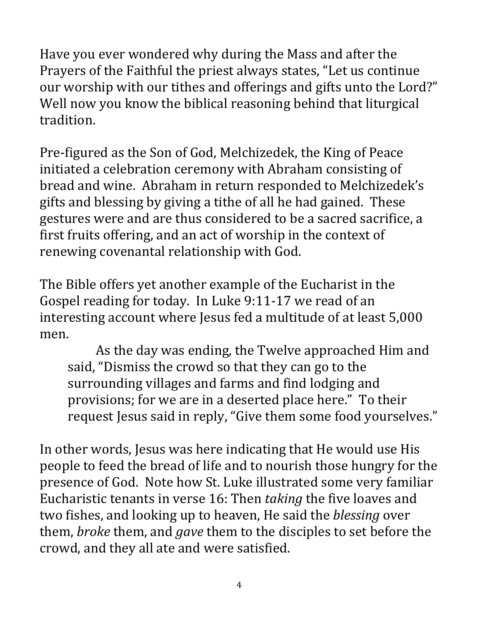Have you ever wondered why during the Mass and after the Prayers of the Faithful the priest always states, "Let us continue our worship with our tithes and offerings and gifts unto the Lord?" Well now you know the biblical reasoning behind that liturgical tradition.

Pre-figured as the Son of God, Melchizedek, the King of Peace initiated a celebration ceremony with Abraham consisting of bread and wine. Abraham in return responded to Melchizedek's gifts and blessing by giving a tithe of all he had gained. These gestures were and are thus considered to be a sacred sacrifice, a first fruits offering, and an act of worship in the context of renewing covenantal relationship with God.

The Bible offers yet another example of the Eucharist in the Gospel reading for today. In Luke 9:11-17 we read of an interesting account where Jesus fed a multitude of at least 5,000 men. 

As the day was ending, the Twelve approached Him and said, "Dismiss the crowd so that they can go to the surrounding villages and farms and find lodging and provisions; for we are in a deserted place here." To their request Jesus said in reply, "Give them some food yourselves."

In other words, Jesus was here indicating that He would use His people to feed the bread of life and to nourish those hungry for the presence of God. Note how St. Luke illustrated some very familiar Eucharistic tenants in verse 16: Then *taking* the five loaves and two fishes, and looking up to heaven, He said the *blessing* over them, *broke* them, and *gave* them to the disciples to set before the crowd, and they all ate and were satisfied.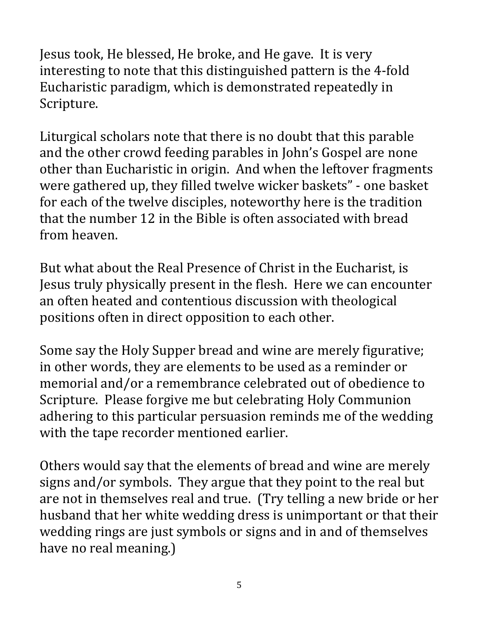Jesus took, He blessed, He broke, and He gave. It is very interesting to note that this distinguished pattern is the 4-fold Eucharistic paradigm, which is demonstrated repeatedly in Scripture. 

Liturgical scholars note that there is no doubt that this parable and the other crowd feeding parables in John's Gospel are none other than Eucharistic in origin. And when the leftover fragments were gathered up, they filled twelve wicker baskets" - one basket for each of the twelve disciples, noteworthy here is the tradition that the number 12 in the Bible is often associated with bread from heaven.

But what about the Real Presence of Christ in the Eucharist, is Jesus truly physically present in the flesh. Here we can encounter an often heated and contentious discussion with theological positions often in direct opposition to each other.

Some say the Holy Supper bread and wine are merely figurative; in other words, they are elements to be used as a reminder or memorial and/or a remembrance celebrated out of obedience to Scripture. Please forgive me but celebrating Holy Communion adhering to this particular persuasion reminds me of the wedding with the tape recorder mentioned earlier.

Others would say that the elements of bread and wine are merely signs and/or symbols. They argue that they point to the real but are not in themselves real and true. (Try telling a new bride or her husband that her white wedding dress is unimportant or that their wedding rings are just symbols or signs and in and of themselves have no real meaning.)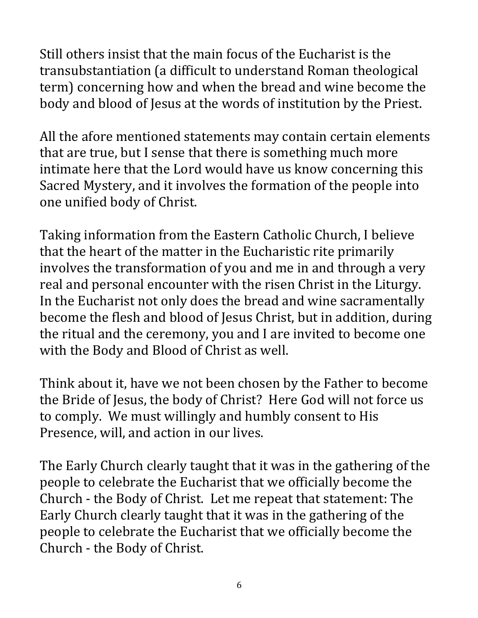Still others insist that the main focus of the Eucharist is the transubstantiation (a difficult to understand Roman theological term) concerning how and when the bread and wine become the body and blood of Jesus at the words of institution by the Priest.

All the afore mentioned statements may contain certain elements that are true, but I sense that there is something much more intimate here that the Lord would have us know concerning this Sacred Mystery, and it involves the formation of the people into one unified body of Christ.

Taking information from the Eastern Catholic Church, I believe that the heart of the matter in the Eucharistic rite primarily involves the transformation of you and me in and through a very real and personal encounter with the risen Christ in the Liturgy. In the Eucharist not only does the bread and wine sacramentally become the flesh and blood of Jesus Christ, but in addition, during the ritual and the ceremony, you and I are invited to become one with the Body and Blood of Christ as well.

Think about it, have we not been chosen by the Father to become the Bride of Jesus, the body of Christ? Here God will not force us to comply. We must willingly and humbly consent to His Presence, will, and action in our lives.

The Early Church clearly taught that it was in the gathering of the people to celebrate the Eucharist that we officially become the Church - the Body of Christ. Let me repeat that statement: The Early Church clearly taught that it was in the gathering of the people to celebrate the Eucharist that we officially become the Church - the Body of Christ.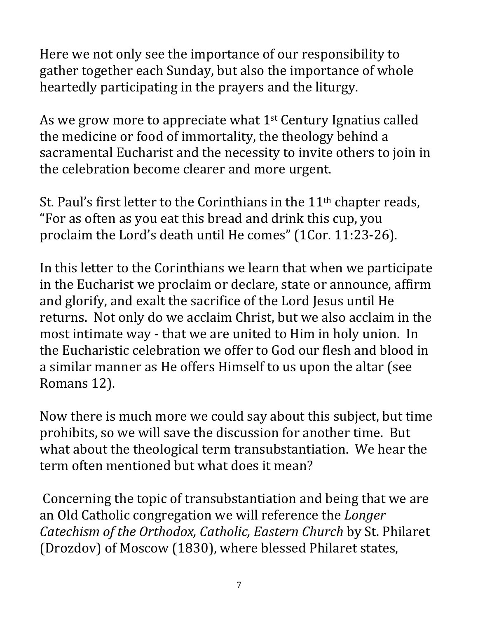Here we not only see the importance of our responsibility to gather together each Sunday, but also the importance of whole heartedly participating in the prayers and the liturgy.

As we grow more to appreciate what  $1<sup>st</sup>$  Century Ignatius called the medicine or food of immortality, the theology behind a sacramental Eucharist and the necessity to invite others to join in the celebration become clearer and more urgent.

St. Paul's first letter to the Corinthians in the  $11<sup>th</sup>$  chapter reads, "For as often as you eat this bread and drink this cup, you proclaim the Lord's death until He comes" (1Cor. 11:23-26).

In this letter to the Corinthians we learn that when we participate in the Eucharist we proclaim or declare, state or announce, affirm and glorify, and exalt the sacrifice of the Lord Jesus until He returns. Not only do we acclaim Christ, but we also acclaim in the most intimate way - that we are united to Him in holy union. In the Eucharistic celebration we offer to God our flesh and blood in a similar manner as He offers Himself to us upon the altar (see Romans 12).

Now there is much more we could say about this subject, but time prohibits, so we will save the discussion for another time. But what about the theological term transubstantiation. We hear the term often mentioned but what does it mean?

Concerning the topic of transubstantiation and being that we are an Old Catholic congregation we will reference the *Longer Catechism of the Orthodox, Catholic, Eastern Church* by St. Philaret (Drozdov) of Moscow (1830), where blessed Philaret states,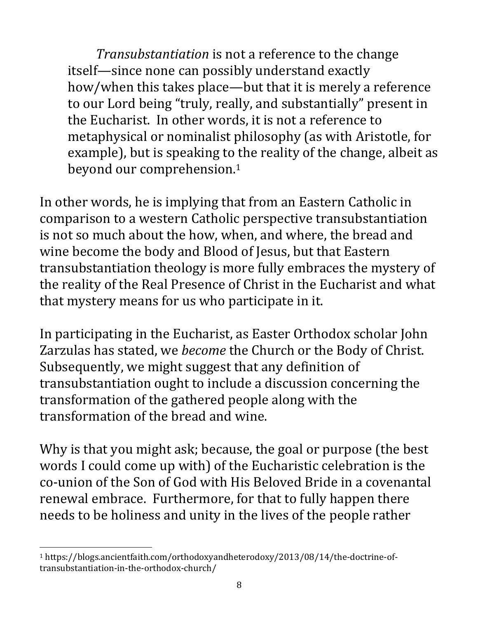*Transubstantiation* is not a reference to the change itself—since none can possibly understand exactly how/when this takes place—but that it is merely a reference to our Lord being "truly, really, and substantially" present in the Eucharist. In other words, it is not a reference to metaphysical or nominalist philosophy (as with Aristotle, for example), but is speaking to the reality of the change, albeit as beyond our comprehension.<sup>1</sup>

In other words, he is implying that from an Eastern Catholic in comparison to a western Catholic perspective transubstantiation is not so much about the how, when, and where, the bread and wine become the body and Blood of Jesus, but that Eastern transubstantiation theology is more fully embraces the mystery of the reality of the Real Presence of Christ in the Eucharist and what that mystery means for us who participate in it.

In participating in the Eucharist, as Easter Orthodox scholar John Zarzulas has stated, we *become* the Church or the Body of Christ. Subsequently, we might suggest that any definition of transubstantiation ought to include a discussion concerning the transformation of the gathered people along with the transformation of the bread and wine.

Why is that you might ask; because, the goal or purpose (the best words I could come up with) of the Eucharistic celebration is the co-union of the Son of God with His Beloved Bride in a covenantal renewal embrace. Furthermore, for that to fully happen there needs to be holiness and unity in the lives of the people rather

<sup>1</sup> https://blogs.ancientfaith.com/orthodoxyandheterodoxy/2013/08/14/the-doctrine-oftransubstantiation-in-the-orthodox-church/